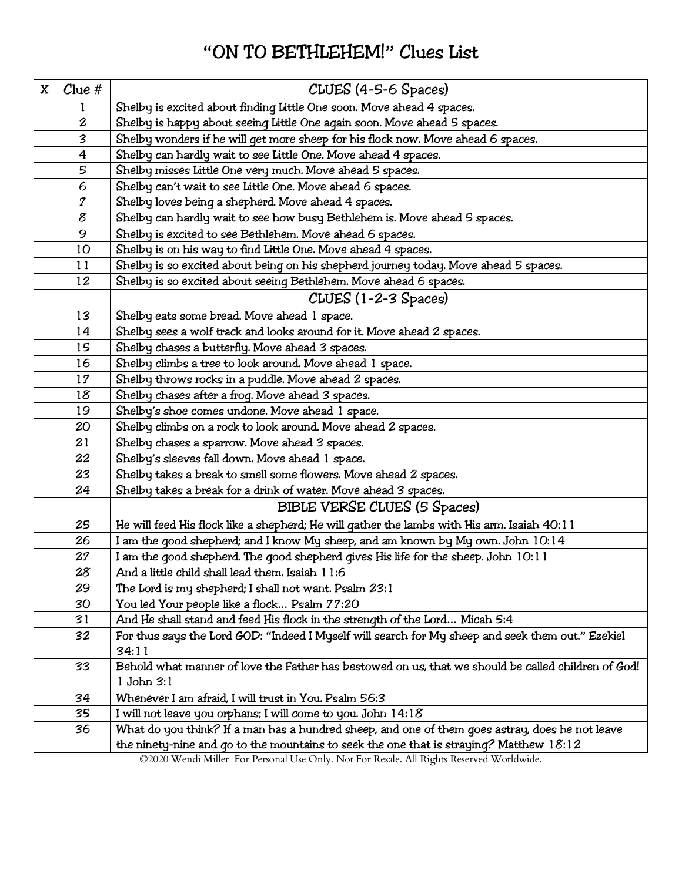## **"**ON TO BETHLEHEM!**"** Clues List

| X | $C$ lue #                  | CLUES (4-5-6 Spaces)                                                                                                                                                               |
|---|----------------------------|------------------------------------------------------------------------------------------------------------------------------------------------------------------------------------|
|   | 1                          | Shelby is excited about finding Little One soon. Move ahead 4 spaces.                                                                                                              |
|   | $\overline{\mathbf{c}}$    | Shelby is happy about seeing Little One again soon. Move ahead 5 spaces.                                                                                                           |
|   | 3                          | Shelby wonders if he will get more sheep for his flock now. Move ahead 6 spaces.                                                                                                   |
|   | 4                          | Shelby can hardly wait to see Little One. Move ahead 4 spaces.                                                                                                                     |
|   | 5                          | Shelby misses Little One very much. Move ahead 5 spaces.                                                                                                                           |
|   | 6                          | Shelby can't wait to see Little One. Move ahead 6 spaces.                                                                                                                          |
|   | $\overline{\mathcal{I}}$   | Shelby loves being a shepherd. Move ahead 4 spaces.                                                                                                                                |
|   | $\boldsymbol{\mathcal{E}}$ | Shelby can hardly wait to see how busy Bethlehem is. Move ahead 5 spaces.                                                                                                          |
|   | 9                          | Shelby is excited to see Bethlehem. Move ahead 6 spaces.                                                                                                                           |
|   | 10                         | Shelby is on his way to find Little One. Move ahead 4 spaces.                                                                                                                      |
|   | 11                         | Shelby is so excited about being on his shepherd journey today. Move ahead 5 spaces.                                                                                               |
|   | 12                         | Shelby is so excited about seeing Bethlehem. Move ahead 6 spaces.                                                                                                                  |
|   |                            | CLUES (1-2-3 Spaces)                                                                                                                                                               |
|   | 13                         | Shelby eats some bread. Move ahead 1 space.                                                                                                                                        |
|   | 14                         | Shelby sees a wolf track and looks around for it. Move ahead 2 spaces.                                                                                                             |
|   | 15                         | Shelby chases a butterfly. Move ahead 3 spaces.                                                                                                                                    |
|   | 16                         | Shelby climbs a tree to look around. Move ahead 1 space.                                                                                                                           |
|   | 17                         | Shelby throws rocks in a puddle. Move ahead 2 spaces.                                                                                                                              |
|   | 18                         | Shelby chases after a froq. Move ahead 3 spaces.                                                                                                                                   |
|   | 19                         | Shelby's shoe comes undone. Move ahead 1 space.                                                                                                                                    |
|   | 20                         | Shelby climbs on a rock to look around. Move ahead 2 spaces.                                                                                                                       |
|   | 21                         | Shelby chases a sparrow. Move ahead 3 spaces.                                                                                                                                      |
|   | 22                         | Shelby's sleeves fall down. Move ahead 1 space.                                                                                                                                    |
|   | 23                         | Shelby takes a break to smell some flowers. Move ahead 2 spaces.                                                                                                                   |
|   | 24                         | Shelby takes a break for a drink of water. Move ahead 3 spaces.                                                                                                                    |
|   |                            | BIBLE VERSE CLUES (5 Spaces)                                                                                                                                                       |
|   | 25                         | He will feed His flock like a shepherd; He will gather the lambs with His arm. Isaiah 40:11                                                                                        |
|   | 26                         | I am the good shepherd; and I know My sheep, and am known by My own. John 10:14                                                                                                    |
|   | 27                         | I am the good shepherd. The good shepherd gives His life for the sheep. John 10:11                                                                                                 |
|   | 28                         | And a little child shall lead them. Isaiah 11:6                                                                                                                                    |
|   | 29                         | The Lord is my shepherd; I shall not want. Psalm 23:1                                                                                                                              |
|   | 30                         | You led Your people like a flock Psalm 77:20                                                                                                                                       |
|   | 31                         | And He shall stand and feed His flock in the strength of the Lord Micah 5:4                                                                                                        |
|   | 32                         | For thus says the Lord GOD: "Indeed I Myself will search for My sheep and seek them out." Ezekiel                                                                                  |
|   |                            | 34:11                                                                                                                                                                              |
|   | 33                         | Behold what manner of love the Father has bestowed on us, that we should be called children of God!                                                                                |
|   |                            | 1 John 3:1                                                                                                                                                                         |
|   | 34                         | Whenever I am afraid, I will trust in You. Psalm 56:3                                                                                                                              |
|   | 35                         | I will not leave you orphans; I will come to you. John 14:18                                                                                                                       |
|   | 36                         | What do you think? If a man has a hundred sheep, and one of them goes astray, does he not leave                                                                                    |
|   |                            | the ninety-nine and go to the mountains to seek the one that is straying? Matthew 18:12<br>@2020 Word: Miller, For Personal Use Only Not For Pessle, All Bights Becaused Worldwide |

©2020 Wendi Miller For Personal Use Only. Not For Resale. All Rights Reserved Worldwide.